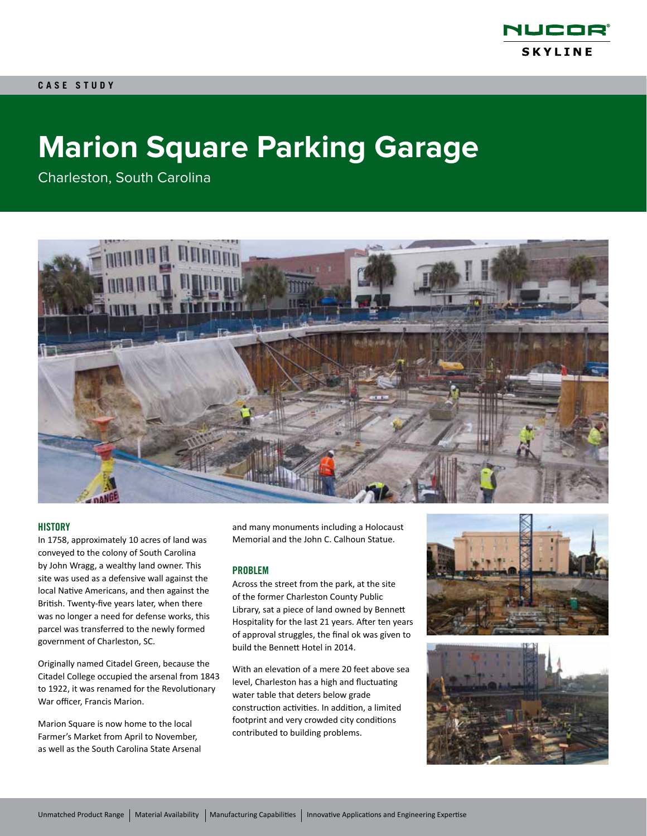

# **Marion Square Parking Garage**

Charleston, South Carolina



#### **HISTORY**

In 1758, approximately 10 acres of land was conveyed to the colony of South Carolina by John Wragg, a wealthy land owner. This site was used as a defensive wall against the local Native Americans, and then against the British. Twenty-five years later, when there was no longer a need for defense works, this parcel was transferred to the newly formed government of Charleston, SC.

Originally named Citadel Green, because the Citadel College occupied the arsenal from 1843 to 1922, it was renamed for the Revolutionary War officer, Francis Marion.

Marion Square is now home to the local Farmer's Market from April to November, as well as the South Carolina State Arsenal and many monuments including a Holocaust Memorial and the John C. Calhoun Statue.

#### PROBLEM

Across the street from the park, at the site of the former Charleston County Public Library, sat a piece of land owned by Bennett Hospitality for the last 21 years. After ten years of approval struggles, the final ok was given to build the Bennett Hotel in 2014.

With an elevation of a mere 20 feet above sea level, Charleston has a high and fluctuating water table that deters below grade construction activities. In addition, a limited footprint and very crowded city conditions contributed to building problems.